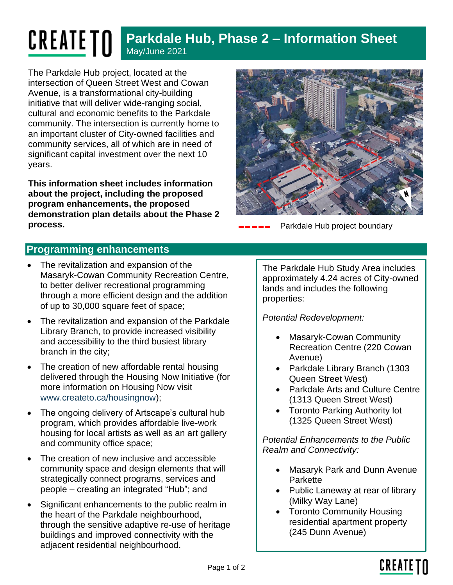## **CREATE TN Parkdale Hub, Phase 2 – Information Sheet** May/June 2021

The Parkdale Hub project, located at the intersection of Queen Street West and Cowan Avenue, is a transformational city-building initiative that will deliver wide-ranging social, cultural and economic benefits to the Parkdale community. The intersection is currently home to an important cluster of City-owned facilities and community services, all of which are in need of significant capital investment over the next 10 years.

**This information sheet includes information about the project, including the proposed program enhancements, the proposed demonstration plan details about the Phase 2 process. Parkdale Hub project boundary process. Parkdale Hub project boundary** 



## **Programming enhancements**

- The revitalization and expansion of the Masaryk-Cowan Community Recreation Centre, to better deliver recreational programming through a more efficient design and the addition of up to 30,000 square feet of space;
- The revitalization and expansion of the Parkdale Library Branch, to provide increased visibility and accessibility to the third busiest library branch in the city;
- The creation of new affordable rental housing delivered through the Housing Now Initiative (for more information on Housing Now visit [www.createto.ca/housingnow\)](http://www.createto.ca/housingnow);
- The ongoing delivery of Artscape's cultural hub program, which provides affordable live-work housing for local artists as well as an art gallery and community office space;
- The creation of new inclusive and accessible community space and design elements that will strategically connect programs, services and people – creating an integrated "Hub"; and
- Significant enhancements to the public realm in the heart of the Parkdale neighbourhood, through the sensitive adaptive re-use of heritage buildings and improved connectivity with the adjacent residential neighbourhood.

The Parkdale Hub Study Area includes approximately 4.24 acres of City-owned lands and includes the following properties:

#### *Potential Redevelopment:*

- Masaryk-Cowan Community Recreation Centre (220 Cowan Avenue)
- Parkdale Library Branch (1303 Queen Street West)
- Parkdale Arts and Culture Centre (1313 Queen Street West)
- Toronto Parking Authority lot (1325 Queen Street West)

*Potential Enhancements to the Public Realm and Connectivity:*

- Masaryk Park and Dunn Avenue **Parkette**
- Public Laneway at rear of library (Milky Way Lane)
- Toronto Community Housing residential apartment property (245 Dunn Avenue)